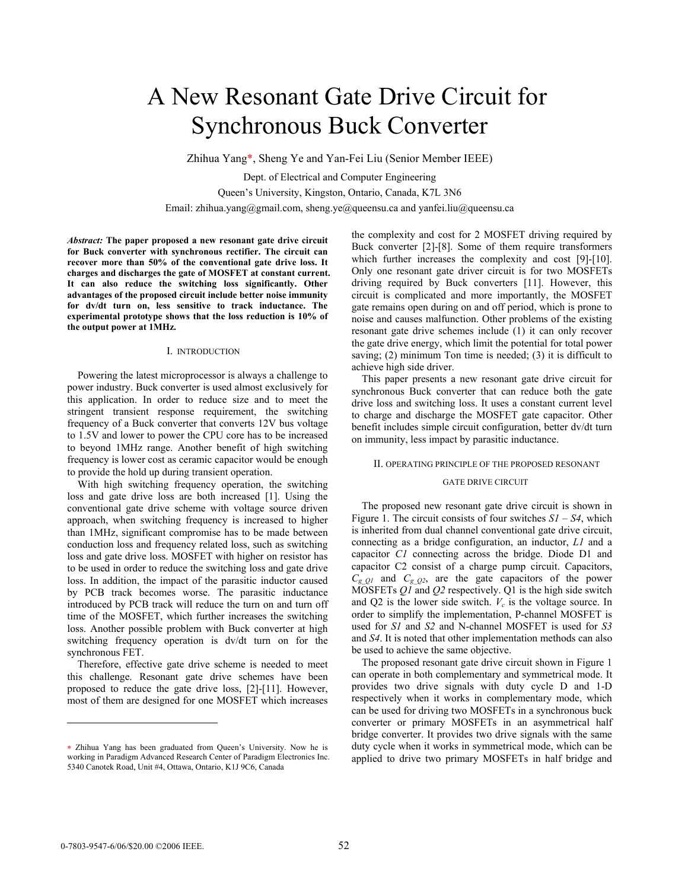# A New Resonant Gate Drive Circuit for Synchronous Buck Converter

Zhihua Yang\*, Sheng Ye and Yan-Fei Liu (Senior Member IEEE)

Dept. of Electrical and Computer Engineering Queen's University, Kingston, Ontario, Canada, K7L 3N6 Email: zhihua.yang@gmail.com, sheng.ye@queensu.ca and yanfei.liu@queensu.ca

*Abstract:* **The paper proposed a new resonant gate drive circuit for Buck converter with synchronous rectifier. The circuit can recover more than 50% of the conventional gate drive loss. It charges and discharges the gate of MOSFET at constant current. It can also reduce the switching loss significantly. Other advantages of the proposed circuit include better noise immunity for dv/dt turn on, less sensitive to track inductance. The experimental prototype shows that the loss reduction is 10% of the output power at 1MHz.** 

# I. INTRODUCTION

Powering the latest microprocessor is always a challenge to power industry. Buck converter is used almost exclusively for this application. In order to reduce size and to meet the stringent transient response requirement, the switching frequency of a Buck converter that converts 12V bus voltage to 1.5V and lower to power the CPU core has to be increased to beyond 1MHz range. Another benefit of high switching frequency is lower cost as ceramic capacitor would be enough to provide the hold up during transient operation.

With high switching frequency operation, the switching loss and gate drive loss are both increased [1]. Using the conventional gate drive scheme with voltage source driven approach, when switching frequency is increased to higher than 1MHz, significant compromise has to be made between conduction loss and frequency related loss, such as switching loss and gate drive loss. MOSFET with higher on resistor has to be used in order to reduce the switching loss and gate drive loss. In addition, the impact of the parasitic inductor caused by PCB track becomes worse. The parasitic inductance introduced by PCB track will reduce the turn on and turn off time of the MOSFET, which further increases the switching loss. Another possible problem with Buck converter at high switching frequency operation is dv/dt turn on for the synchronous FET.

Therefore, effective gate drive scheme is needed to meet this challenge. Resonant gate drive schemes have been proposed to reduce the gate drive loss, [2]-[11]. However, most of them are designed for one MOSFET which increases

the complexity and cost for 2 MOSFET driving required by Buck converter [2]-[8]. Some of them require transformers which further increases the complexity and cost [9]-[10]. Only one resonant gate driver circuit is for two MOSFETs driving required by Buck converters [11]. However, this circuit is complicated and more importantly, the MOSFET gate remains open during on and off period, which is prone to noise and causes malfunction. Other problems of the existing resonant gate drive schemes include (1) it can only recover the gate drive energy, which limit the potential for total power saving; (2) minimum Ton time is needed; (3) it is difficult to achieve high side driver.

This paper presents a new resonant gate drive circuit for synchronous Buck converter that can reduce both the gate drive loss and switching loss. It uses a constant current level to charge and discharge the MOSFET gate capacitor. Other benefit includes simple circuit configuration, better dv/dt turn on immunity, less impact by parasitic inductance.

### II. OPERATING PRINCIPLE OF THE PROPOSED RESONANT

# GATE DRIVE CIRCUIT

The proposed new resonant gate drive circuit is shown in Figure 1. The circuit consists of four switches  $SI - S4$ , which is inherited from dual channel conventional gate drive circuit, connecting as a bridge configuration, an inductor, *L1* and a capacitor *C1* connecting across the bridge. Diode D1 and capacitor C2 consist of a charge pump circuit. Capacitors,  $C_{gQ1}$  and  $C_{gQ2}$ , are the gate capacitors of the power MOSFETs *Q1* and *Q2* respectively. Q1 is the high side switch and  $Q2$  is the lower side switch.  $V_c$  is the voltage source. In order to simplify the implementation, P-channel MOSFET is used for *S1* and *S2* and N-channel MOSFET is used for *S3* and *S4*. It is noted that other implementation methods can also be used to achieve the same objective.

The proposed resonant gate drive circuit shown in Figure 1 can operate in both complementary and symmetrical mode. It provides two drive signals with duty cycle D and 1-D respectively when it works in complementary mode, which can be used for driving two MOSFETs in a synchronous buck converter or primary MOSFETs in an asymmetrical half bridge converter. It provides two drive signals with the same duty cycle when it works in symmetrical mode, which can be applied to drive two primary MOSFETs in half bridge and

 $\overline{a}$ 

<sup>∗</sup> Zhihua Yang has been graduated from Queen's University. Now he is working in Paradigm Advanced Research Center of Paradigm Electronics Inc. 5340 Canotek Road, Unit #4, Ottawa, Ontario, K1J 9C6, Canada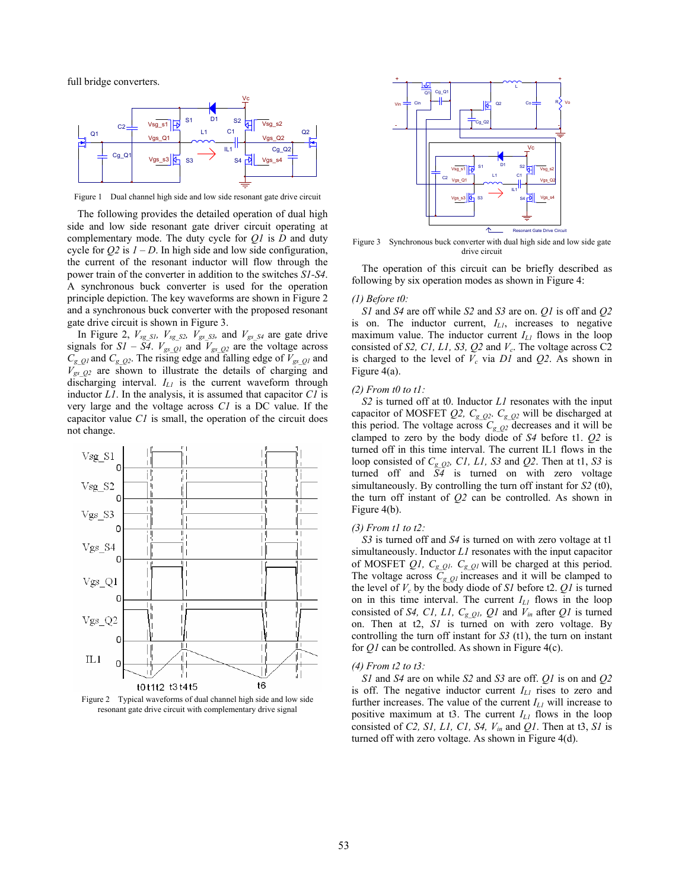full bridge converters.



Figure 1 Dual channel high side and low side resonant gate drive circuit

The following provides the detailed operation of dual high side and low side resonant gate driver circuit operating at complementary mode. The duty cycle for *Q1* is *D* and duty cycle for  $Q2$  is  $I - D$ . In high side and low side configuration, the current of the resonant inductor will flow through the power train of the converter in addition to the switches *S1-S4*. A synchronous buck converter is used for the operation principle depiction. The key waveforms are shown in Figure 2 and a synchronous buck converter with the proposed resonant gate drive circuit is shown in Figure 3.

In Figure 2,  $V_{sg\ SI}$ ,  $V_{sg\ SI}$ ,  $V_{gs\ SI}$ , and  $V_{gs\ SI}$  are gate drive signals for  $SI - S4$ .  $V_{gsQ1}$  and  $V_{gsQ2}$  are the voltage across  $C_g$   $Q_1$  and  $C_g$   $Q_2$ . The rising edge and falling edge of  $V_{gs}$   $Q_1$  and  $V_{gs_2Q2}$  are shown to illustrate the details of charging and discharging interval. *IL1* is the current waveform through inductor *L1*. In the analysis, it is assumed that capacitor *C1* is very large and the voltage across *C1* is a DC value. If the capacitor value *C1* is small, the operation of the circuit does not change.



Figure 2 Typical waveforms of dual channel high side and low side resonant gate drive circuit with complementary drive signal



Figure 3 Synchronous buck converter with dual high side and low side gate drive circuit

The operation of this circuit can be briefly described as following by six operation modes as shown in Figure 4:

#### *(1) Before t0:*

*S1* and *S4* are off while *S2* and *S3* are on. *Q1* is off and *Q2* is on. The inductor current, *IL1*, increases to negative maximum value. The inductor current  $I_{L1}$  flows in the loop consisted of *S2, C1, L1, S3, Q2* and  $V_c$ . The voltage across C2 is charged to the level of  $V_c$  via  $DI$  and  $Q2$ . As shown in Figure 4(a).

# *(2) From t0 to t1:*

*S2* is turned off at t0. Inductor *L1* resonates with the input capacitor of MOSFET  $Q_2$ ,  $C_{gQ_2}$ .  $C_{gQ_2}$  will be discharged at this period. The voltage across  $C_{gQ2}$  decreases and it will be clamped to zero by the body diode of *S4* before t1. *Q2* is turned off in this time interval. The current IL1 flows in the loop consisted of *Cg\_Q2, C1, L1, S3* and *Q2*. Then at t1, *S3* is turned off and *S4* is turned on with zero voltage simultaneously. By controlling the turn off instant for *S2* (t0), the turn off instant of *Q2* can be controlled. As shown in Figure 4(b).

#### *(3) From t1 to t2:*

*S3* is turned off and *S4* is turned on with zero voltage at t1 simultaneously. Inductor *L1* resonates with the input capacitor of MOSFET *Q1,*  $C_g$   $Q_l$ .  $C_g$   $Q_l$  will be charged at this period. The voltage across  $C_{gQI}$  increases and it will be clamped to the level of  $V_c$  by the body diode of *S1* before t2.  $QI$  is turned on in this time interval. The current *IL1* flows in the loop consisted of *S4, C1, L1, C<sub>g Q1</sub>, Q1* and  $V_{in}$  after *Q1* is turned on. Then at t2, *S1* is turned on with zero voltage. By controlling the turn off instant for *S3* (t1), the turn on instant for *Q1* can be controlled. As shown in Figure 4(c).

#### *(4) From t2 to t3:*

*S1* and *S4* are on while *S2* and *S3* are off. *Q1* is on and *Q2* is off. The negative inductor current  $I_{LI}$  rises to zero and further increases. The value of the current  $I_{LL}$  will increase to positive maximum at t3. The current *IL1* flows in the loop consisted of *C2, S1, L1, C1, S4, V<sub>in</sub>* and *Q1*. Then at t3, *S1* is turned off with zero voltage. As shown in Figure 4(d).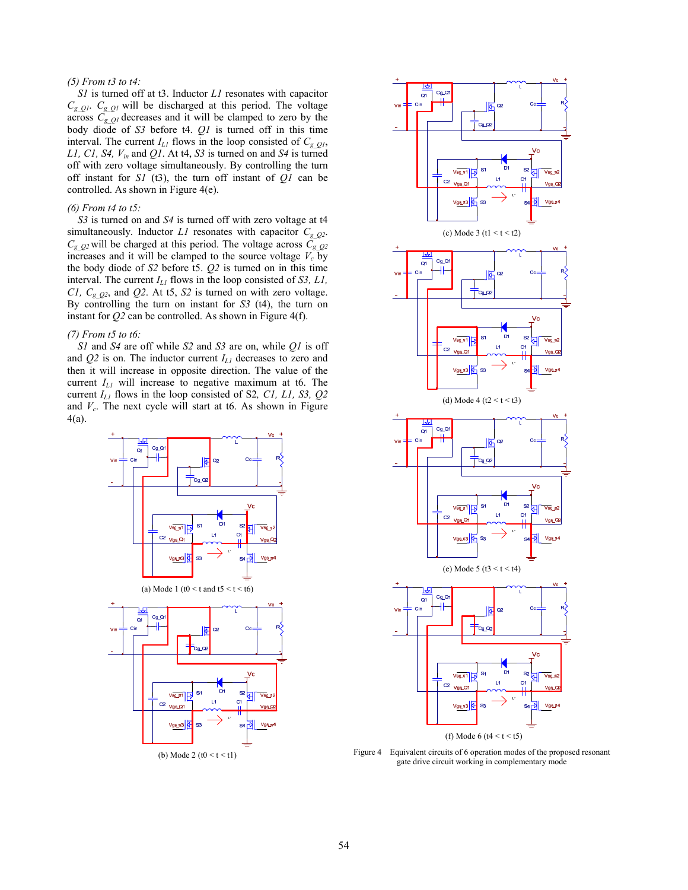# *(5) From t3 to t4:*

*S1* is turned off at t3. Inductor *L1* resonates with capacitor  $C_{gQ1}$ .  $C_{gQ1}$  will be discharged at this period. The voltage across  $C_g$   $Q_l$  decreases and it will be clamped to zero by the body diode of *S3* before t4. *Q1* is turned off in this time interval. The current  $I_{LI}$  flows in the loop consisted of  $C_{g_2QI}$ , *L1, C1, S4, Vin* and *Q1*. At t4, *S3* is turned on and *S4* is turned off with zero voltage simultaneously. By controlling the turn off instant for *S1* (t3), the turn off instant of *Q1* can be controlled. As shown in Figure 4(e).

# *(6) From t4 to t5:*

*S3* is turned on and *S4* is turned off with zero voltage at t4 simultaneously. Inductor  $LI$  resonates with capacitor  $C_{g_2Q_2}$ .  $C_{g_2Q^2}$  will be charged at this period. The voltage across  $C_{g_2Q^2}$ increases and it will be clamped to the source voltage  $V_c$  by the body diode of *S2* before t5. *Q2* is turned on in this time interval. The current *IL1* flows in the loop consisted of *S3, L1, C1, C<sub>g</sub>* $Q2$ , and *Q2*. At t5, *S2* is turned on with zero voltage. By controlling the turn on instant for *S3* (t4), the turn on instant for *Q2* can be controlled. As shown in Figure 4(f).

### *(7) From t5 to t6:*

*S1* and *S4* are off while *S2* and *S3* are on, while *Q1* is off and *Q2* is on. The inductor current *IL1* decreases to zero and then it will increase in opposite direction. The value of the current *IL1* will increase to negative maximum at t6. The current *IL1* flows in the loop consisted of S2*, C1, L1, S3, Q2* and *Vc*. The next cycle will start at t6. As shown in Figure 4(a).





Figure 4 Equivalent circuits of 6 operation modes of the proposed resonant gate drive circuit working in complementary mode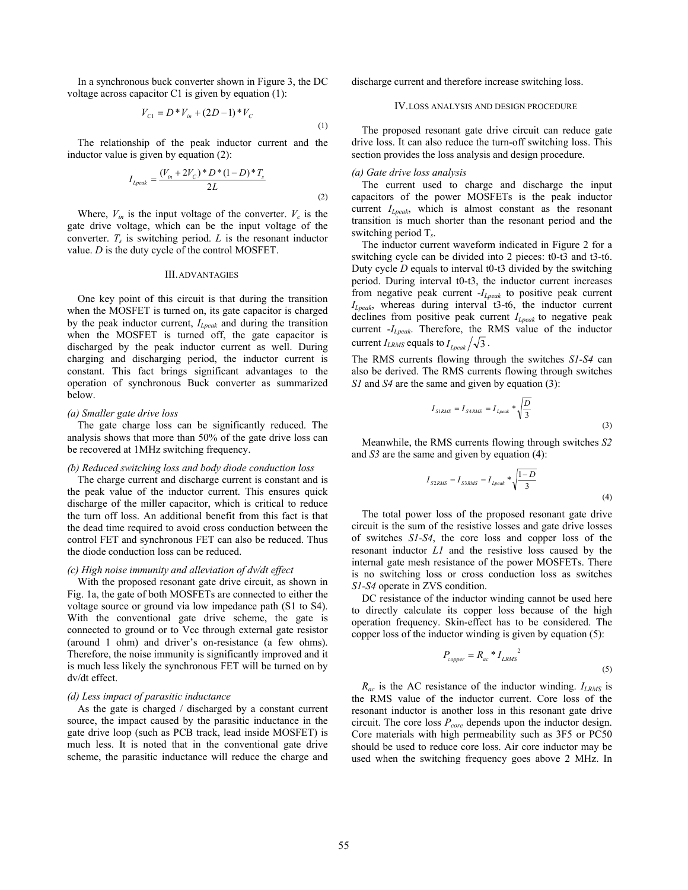In a synchronous buck converter shown in Figure 3, the DC voltage across capacitor C1 is given by equation (1):

$$
V_{C1} = D^* V_{in} + (2D - 1)^* V_C
$$
\n(1)

The relationship of the peak inductor current and the inductor value is given by equation (2):

$$
I_{Lpeak} = \frac{(V_{in} + 2V_C)^* D^* (1 - D)^* T_s}{2L}
$$
\n(2)

Where,  $V_{in}$  is the input voltage of the converter.  $V_c$  is the gate drive voltage, which can be the input voltage of the converter.  $T_s$  is switching period.  $L$  is the resonant inductor value. *D* is the duty cycle of the control MOSFET.

#### III.ADVANTAGIES

One key point of this circuit is that during the transition when the MOSFET is turned on, its gate capacitor is charged by the peak inductor current, *ILpeak* and during the transition when the MOSFET is turned off, the gate capacitor is discharged by the peak inductor current as well. During charging and discharging period, the inductor current is constant. This fact brings significant advantages to the operation of synchronous Buck converter as summarized below.

#### *(a) Smaller gate drive loss*

The gate charge loss can be significantly reduced. The analysis shows that more than 50% of the gate drive loss can be recovered at 1MHz switching frequency.

## *(b) Reduced switching loss and body diode conduction loss*

The charge current and discharge current is constant and is the peak value of the inductor current. This ensures quick discharge of the miller capacitor, which is critical to reduce the turn off loss. An additional benefit from this fact is that the dead time required to avoid cross conduction between the control FET and synchronous FET can also be reduced. Thus the diode conduction loss can be reduced.

# *(c) High noise immunity and alleviation of dv/dt effect*

With the proposed resonant gate drive circuit, as shown in Fig. 1a, the gate of both MOSFETs are connected to either the voltage source or ground via low impedance path (S1 to S4). With the conventional gate drive scheme, the gate is connected to ground or to Vcc through external gate resistor (around 1 ohm) and driver's on-resistance (a few ohms). Therefore, the noise immunity is significantly improved and it is much less likely the synchronous FET will be turned on by dv/dt effect.

# *(d) Less impact of parasitic inductance*

As the gate is charged / discharged by a constant current source, the impact caused by the parasitic inductance in the gate drive loop (such as PCB track, lead inside MOSFET) is much less. It is noted that in the conventional gate drive scheme, the parasitic inductance will reduce the charge and discharge current and therefore increase switching loss.

## IV.LOSS ANALYSIS AND DESIGN PROCEDURE

The proposed resonant gate drive circuit can reduce gate drive loss. It can also reduce the turn-off switching loss. This section provides the loss analysis and design procedure.

#### *(a) Gate drive loss analysis*

The current used to charge and discharge the input capacitors of the power MOSFETs is the peak inductor current *ILpeak*, which is almost constant as the resonant transition is much shorter than the resonant period and the switching period T*s*.

The inductor current waveform indicated in Figure 2 for a switching cycle can be divided into 2 pieces: t0-t3 and t3-t6. Duty cycle *D* equals to interval t0-t3 divided by the switching period. During interval t0-t3, the inductor current increases from negative peak current -*ILpeak* to positive peak current *ILpeak*, whereas during interval t3-t6, the inductor current declines from positive peak current *ILpeak* to negative peak current -*ILpeak*. Therefore, the RMS value of the inductor current  $I_{LRMS}$  equals to  $I_{Lpeak} / \sqrt{3}$ .

The RMS currents flowing through the switches *S1-S4* can also be derived. The RMS currents flowing through switches *S1* and *S4* are the same and given by equation (3):

$$
I_{SIRMS} = I_{S4RMS} = I_{Lpeak} * \sqrt{\frac{D}{3}}
$$
\n(3)

Meanwhile, the RMS currents flowing through switches *S2* and *S3* are the same and given by equation (4):

$$
I_{S2RMS} = I_{S3RMS} = I_{Lpeak} * \sqrt{\frac{1-D}{3}}
$$
\n(4)

The total power loss of the proposed resonant gate drive circuit is the sum of the resistive losses and gate drive losses of switches *S1-S4*, the core loss and copper loss of the resonant inductor *L1* and the resistive loss caused by the internal gate mesh resistance of the power MOSFETs. There is no switching loss or cross conduction loss as switches *S1-S4* operate in ZVS condition.

DC resistance of the inductor winding cannot be used here to directly calculate its copper loss because of the high operation frequency. Skin-effect has to be considered. The copper loss of the inductor winding is given by equation (5):

$$
P_{copper} = R_{ac} * I_{LRMS}^{2}
$$
\n<sup>(5)</sup>

*Rac* is the AC resistance of the inductor winding. *ILRMS* is the RMS value of the inductor current. Core loss of the resonant inductor is another loss in this resonant gate drive circuit. The core loss  $P_{core}$  depends upon the inductor design. Core materials with high permeability such as 3F5 or PC50 should be used to reduce core loss. Air core inductor may be used when the switching frequency goes above 2 MHz. In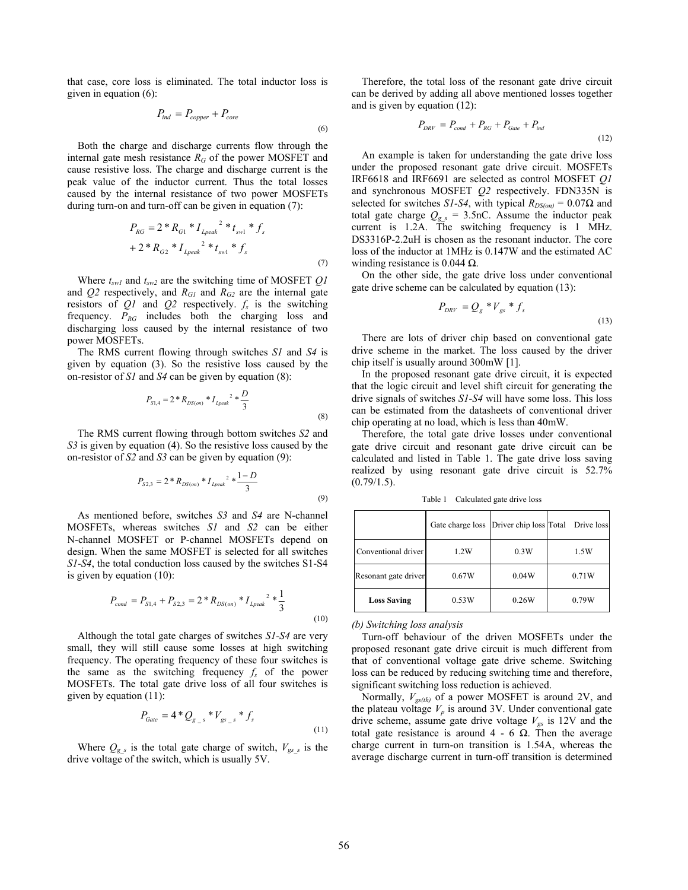that case, core loss is eliminated. The total inductor loss is given in equation (6):

$$
P_{ind} = P_{copper} + P_{core}
$$
\n
$$
\tag{6}
$$

Both the charge and discharge currents flow through the internal gate mesh resistance  $R_G$  of the power MOSFET and cause resistive loss. The charge and discharge current is the peak value of the inductor current. Thus the total losses caused by the internal resistance of two power MOSFETs during turn-on and turn-off can be given in equation (7):

$$
P_{RG} = 2 * R_{G1} * I_{Lpeak}^{2} * t_{swl} * f_{s}
$$
  
+ 2 \* R<sub>G2</sub> \* I<sub>Lpeak</sub><sup>2</sup> \* t<sub>svl</sub> \* f<sub>s</sub> (7)

Where *tsw1* and *tsw2* are the switching time of MOSFET *Q1* and  $Q2$  respectively, and  $R_{GI}$  and  $R_{G2}$  are the internal gate resistors of  $Q_1$  and  $Q_2$  respectively.  $f_s$  is the switching frequency. *PRG* includes both the charging loss and discharging loss caused by the internal resistance of two power MOSFETs.

The RMS current flowing through switches *S1* and *S4* is given by equation (3). So the resistive loss caused by the on-resistor of *S1* and *S4* can be given by equation (8):

$$
P_{_{S1,4}}=2*R_{_{DS(\sigma n)}}*{I_{\scriptsize{1peak}}}^2*\frac{D}{3} \tag{8}
$$

The RMS current flowing through bottom switches *S2* and *S3* is given by equation (4). So the resistive loss caused by the on-resistor of *S2* and *S3* can be given by equation (9):

$$
P_{S2,3} = 2 * R_{DS(on)} * I_{Lpeak}^{2} * \frac{1-D}{3}
$$
\n(9)

As mentioned before, switches *S3* and *S4* are N-channel MOSFETs, whereas switches *S1* and *S2* can be either N-channel MOSFET or P-channel MOSFETs depend on design. When the same MOSFET is selected for all switches *S1-S4*, the total conduction loss caused by the switches S1-S4 is given by equation (10):

$$
P_{cond} = P_{S1,4} + P_{S2,3} = 2 * R_{DS(on)} * I_{Lpeak}^{2} * \frac{1}{3}
$$
\n(10)

Although the total gate charges of switches *S1-S4* are very small, they will still cause some losses at high switching frequency. The operating frequency of these four switches is the same as the switching frequency  $f_s$  of the power MOSFETs. The total gate drive loss of all four switches is given by equation (11):

$$
P_{Gate} = 4 * Q_{g_{s}} * V_{gs_{s}} * f_{s}
$$
\n(11)

Where  $Q_{g,s}$  is the total gate charge of switch,  $V_{gs,s}$  is the drive voltage of the switch, which is usually 5V.

Therefore, the total loss of the resonant gate drive circuit can be derived by adding all above mentioned losses together and is given by equation (12):

$$
P_{DRV} = P_{cond} + P_{RG} + P_{Gate} + P_{ind}
$$
\n
$$
\tag{12}
$$

An example is taken for understanding the gate drive loss under the proposed resonant gate drive circuit. MOSFETs IRF6618 and IRF6691 are selected as control MOSFET *Q1* and synchronous MOSFET *Q2* respectively. FDN335N is selected for switches *S1-S4*, with typical  $R_{DS(on)} = 0.07\Omega$  and total gate charge  $Q_{g,s}$  = 3.5nC. Assume the inductor peak current is 1.2A. The switching frequency is 1 MHz. DS3316P-2.2uH is chosen as the resonant inductor. The core loss of the inductor at 1MHz is 0.147W and the estimated AC winding resistance is 0.044  $\Omega$ .

On the other side, the gate drive loss under conventional gate drive scheme can be calculated by equation (13):

$$
P_{DRV} = Q_g * V_{gs} * f_s
$$
\n(13)

There are lots of driver chip based on conventional gate drive scheme in the market. The loss caused by the driver chip itself is usually around 300mW [1].

In the proposed resonant gate drive circuit, it is expected that the logic circuit and level shift circuit for generating the drive signals of switches *S1-S4* will have some loss. This loss can be estimated from the datasheets of conventional driver chip operating at no load, which is less than 40mW.

Therefore, the total gate drive losses under conventional gate drive circuit and resonant gate drive circuit can be calculated and listed in Table 1. The gate drive loss saving realized by using resonant gate drive circuit is 52.7%  $(0.79/1.5)$ .

Table 1 Calculated gate drive loss

|                      |       |       | Gate charge loss Driver chip loss Total Drive loss |
|----------------------|-------|-------|----------------------------------------------------|
| Conventional driver  | 1.2W  | 0.3W  | 1.5W                                               |
| Resonant gate driver | 0.67W | 0.04W | 0.71W                                              |
| <b>Loss Saving</b>   | 0.53W | 0.26W | 0.79W                                              |

*(b) Switching loss analysis* 

Turn-off behaviour of the driven MOSFETs under the proposed resonant gate drive circuit is much different from that of conventional voltage gate drive scheme. Switching loss can be reduced by reducing switching time and therefore, significant switching loss reduction is achieved.

Normally,  $V_{gs(th)}$  of a power MOSFET is around 2V, and the plateau voltage  $V_p$  is around 3V. Under conventional gate drive scheme, assume gate drive voltage  $V_{gs}$  is 12V and the total gate resistance is around  $4 - 6 \Omega$ . Then the average charge current in turn-on transition is 1.54A, whereas the average discharge current in turn-off transition is determined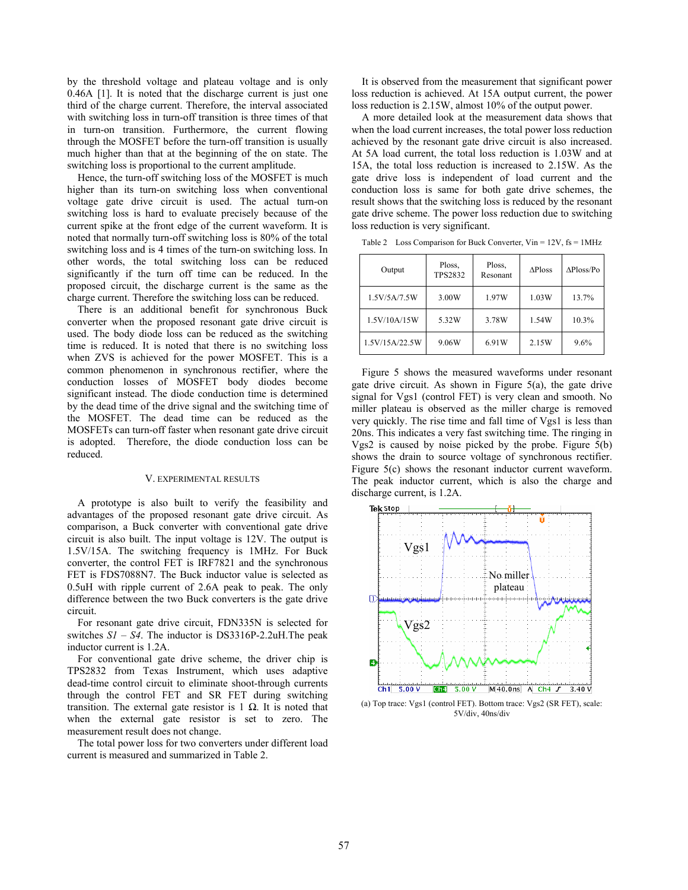by the threshold voltage and plateau voltage and is only 0.46A [1]. It is noted that the discharge current is just one third of the charge current. Therefore, the interval associated with switching loss in turn-off transition is three times of that in turn-on transition. Furthermore, the current flowing through the MOSFET before the turn-off transition is usually much higher than that at the beginning of the on state. The switching loss is proportional to the current amplitude.

Hence, the turn-off switching loss of the MOSFET is much higher than its turn-on switching loss when conventional voltage gate drive circuit is used. The actual turn-on switching loss is hard to evaluate precisely because of the current spike at the front edge of the current waveform. It is noted that normally turn-off switching loss is 80% of the total switching loss and is 4 times of the turn-on switching loss. In other words, the total switching loss can be reduced significantly if the turn off time can be reduced. In the proposed circuit, the discharge current is the same as the charge current. Therefore the switching loss can be reduced.

There is an additional benefit for synchronous Buck converter when the proposed resonant gate drive circuit is used. The body diode loss can be reduced as the switching time is reduced. It is noted that there is no switching loss when ZVS is achieved for the power MOSFET. This is a common phenomenon in synchronous rectifier, where the conduction losses of MOSFET body diodes become significant instead. The diode conduction time is determined by the dead time of the drive signal and the switching time of the MOSFET. The dead time can be reduced as the MOSFETs can turn-off faster when resonant gate drive circuit is adopted. Therefore, the diode conduction loss can be reduced.

# V. EXPERIMENTAL RESULTS

A prototype is also built to verify the feasibility and advantages of the proposed resonant gate drive circuit. As comparison, a Buck converter with conventional gate drive circuit is also built. The input voltage is 12V. The output is 1.5V/15A. The switching frequency is 1MHz. For Buck converter, the control FET is IRF7821 and the synchronous FET is FDS7088N7. The Buck inductor value is selected as 0.5uH with ripple current of 2.6A peak to peak. The only difference between the two Buck converters is the gate drive circuit.

For resonant gate drive circuit, FDN335N is selected for switches *S1 – S4*. The inductor is DS3316P-2.2uH.The peak inductor current is 1.2A.

For conventional gate drive scheme, the driver chip is TPS2832 from Texas Instrument, which uses adaptive dead-time control circuit to eliminate shoot-through currents through the control FET and SR FET during switching transition. The external gate resistor is 1 Ω. It is noted that when the external gate resistor is set to zero. The measurement result does not change.

The total power loss for two converters under different load current is measured and summarized in Table 2.

It is observed from the measurement that significant power loss reduction is achieved. At 15A output current, the power loss reduction is 2.15W, almost 10% of the output power.

A more detailed look at the measurement data shows that when the load current increases, the total power loss reduction achieved by the resonant gate drive circuit is also increased. At 5A load current, the total loss reduction is 1.03W and at 15A, the total loss reduction is increased to 2.15W. As the gate drive loss is independent of load current and the conduction loss is same for both gate drive schemes, the result shows that the switching loss is reduced by the resonant gate drive scheme. The power loss reduction due to switching loss reduction is very significant.

| Output         | Ploss,<br><b>TPS2832</b> | Ploss,<br>Resonant | $\triangle$ Ploss | $\Delta$ Ploss/Po |
|----------------|--------------------------|--------------------|-------------------|-------------------|
| 1.5V/5A/7.5W   | 3.00W                    | 1.97W              | 1.03W             | 13.7%             |
| 1.5V/10A/15W   | 5.32W                    | 3.78W              | 1.54W             | 10.3%             |
| 1.5V/15A/22.5W | 9.06W                    | 6.91W              | 2.15W             | 9.6%              |

Table 2 Loss Comparison for Buck Converter, Vin = 12V, fs = 1MHz

Figure 5 shows the measured waveforms under resonant gate drive circuit. As shown in Figure 5(a), the gate drive signal for Vgs1 (control FET) is very clean and smooth. No miller plateau is observed as the miller charge is removed very quickly. The rise time and fall time of Vgs1 is less than 20ns. This indicates a very fast switching time. The ringing in Vgs2 is caused by noise picked by the probe. Figure 5(b) shows the drain to source voltage of synchronous rectifier. Figure 5(c) shows the resonant inductor current waveform. The peak inductor current, which is also the charge and discharge current, is 1.2A.



(a) Top trace: Vgs1 (control FET). Bottom trace: Vgs2 (SR FET), scale: 5V/div, 40ns/div